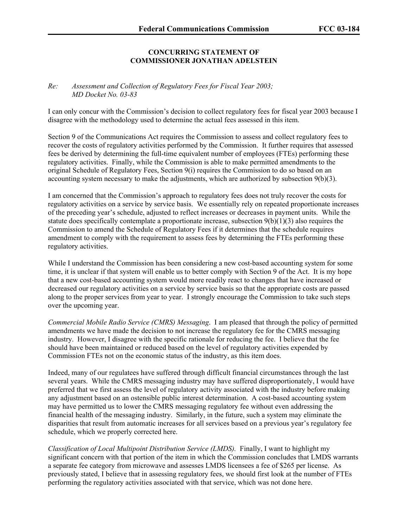## **CONCURRING STATEMENT OF COMMISSIONER JONATHAN ADELSTEIN**

## *Re: Assessment and Collection of Regulatory Fees for Fiscal Year 2003; MD Docket No. 03-83*

I can only concur with the Commission's decision to collect regulatory fees for fiscal year 2003 because I disagree with the methodology used to determine the actual fees assessed in this item.

Section 9 of the Communications Act requires the Commission to assess and collect regulatory fees to recover the costs of regulatory activities performed by the Commission. It further requires that assessed fees be derived by determining the full-time equivalent number of employees (FTEs) performing these regulatory activities. Finally, while the Commission is able to make permitted amendments to the original Schedule of Regulatory Fees, Section 9(i) requires the Commission to do so based on an accounting system necessary to make the adjustments, which are authorized by subsection 9(b)(3).

I am concerned that the Commission's approach to regulatory fees does not truly recover the costs for regulatory activities on a service by service basis. We essentially rely on repeated proportionate increases of the preceding year's schedule, adjusted to reflect increases or decreases in payment units. While the statute does specifically contemplate a proportionate increase, subsection  $9(b)(1)(3)$  also requires the Commission to amend the Schedule of Regulatory Fees if it determines that the schedule requires amendment to comply with the requirement to assess fees by determining the FTEs performing these regulatory activities.

While I understand the Commission has been considering a new cost-based accounting system for some time, it is unclear if that system will enable us to better comply with Section 9 of the Act. It is my hope that a new cost-based accounting system would more readily react to changes that have increased or decreased our regulatory activities on a service by service basis so that the appropriate costs are passed along to the proper services from year to year. I strongly encourage the Commission to take such steps over the upcoming year.

*Commercial Mobile Radio Service (CMRS) Messaging*. I am pleased that through the policy of permitted amendments we have made the decision to not increase the regulatory fee for the CMRS messaging industry. However, I disagree with the specific rationale for reducing the fee. I believe that the fee should have been maintained or reduced based on the level of regulatory activities expended by Commission FTEs not on the economic status of the industry, as this item does.

Indeed, many of our regulatees have suffered through difficult financial circumstances through the last several years. While the CMRS messaging industry may have suffered disproportionately, I would have preferred that we first assess the level of regulatory activity associated with the industry before making any adjustment based on an ostensible public interest determination. A cost-based accounting system may have permitted us to lower the CMRS messaging regulatory fee without even addressing the financial health of the messaging industry. Similarly, in the future, such a system may eliminate the disparities that result from automatic increases for all services based on a previous year's regulatory fee schedule, which we properly corrected here.

*Classification of Local Multipoint Distribution Service (LMDS).* Finally, I want to highlight my significant concern with that portion of the item in which the Commission concludes that LMDS warrants a separate fee category from microwave and assesses LMDS licensees a fee of \$265 per license. As previously stated, I believe that in assessing regulatory fees, we should first look at the number of FTEs performing the regulatory activities associated with that service, which was not done here.